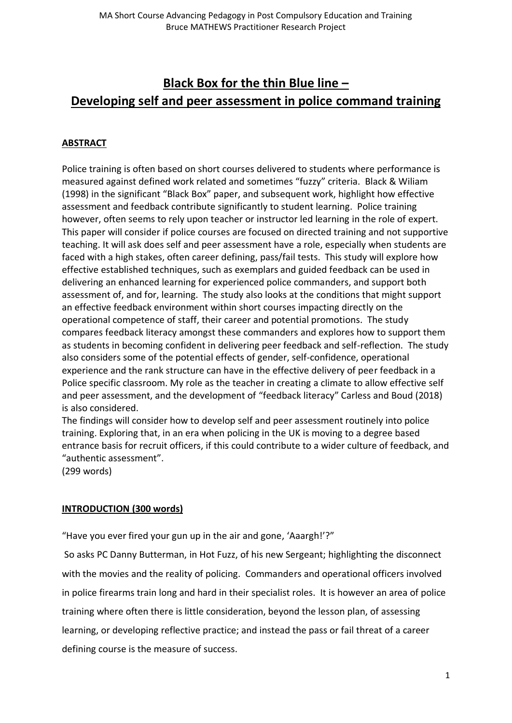# **Black Box for the thin Blue line – Developing self and peer assessment in police command training**

# **ABSTRACT**

Police training is often based on short courses delivered to students where performance is measured against defined work related and sometimes "fuzzy" criteria. Black & Wiliam (1998) in the significant "Black Box" paper, and subsequent work, highlight how effective assessment and feedback contribute significantly to student learning. Police training however, often seems to rely upon teacher or instructor led learning in the role of expert. This paper will consider if police courses are focused on directed training and not supportive teaching. It will ask does self and peer assessment have a role, especially when students are faced with a high stakes, often career defining, pass/fail tests. This study will explore how effective established techniques, such as exemplars and guided feedback can be used in delivering an enhanced learning for experienced police commanders, and support both assessment of, and for, learning. The study also looks at the conditions that might support an effective feedback environment within short courses impacting directly on the operational competence of staff, their career and potential promotions. The study compares feedback literacy amongst these commanders and explores how to support them as students in becoming confident in delivering peer feedback and self-reflection. The study also considers some of the potential effects of gender, self-confidence, operational experience and the rank structure can have in the effective delivery of peer feedback in a Police specific classroom. My role as the teacher in creating a climate to allow effective self and peer assessment, and the development of "feedback literacy" Carless and Boud (2018) is also considered.

The findings will consider how to develop self and peer assessment routinely into police training. Exploring that, in an era when policing in the UK is moving to a degree based entrance basis for recruit officers, if this could contribute to a wider culture of feedback, and "authentic assessment".

(299 words)

# **INTRODUCTION (300 words)**

"Have you ever fired your gun up in the air and gone, 'Aaargh!'?"

So asks PC Danny Butterman, in Hot Fuzz, of his new Sergeant; highlighting the disconnect with the movies and the reality of policing. Commanders and operational officers involved in police firearms train long and hard in their specialist roles. It is however an area of police training where often there is little consideration, beyond the lesson plan, of assessing learning, or developing reflective practice; and instead the pass or fail threat of a career defining course is the measure of success.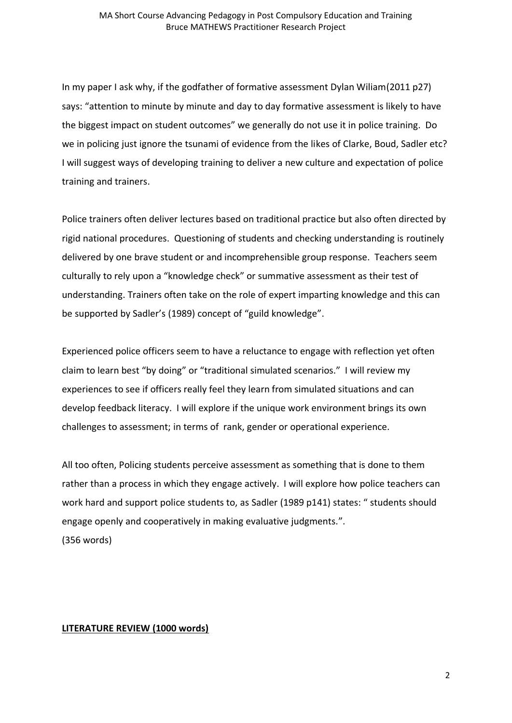In my paper I ask why, if the godfather of formative assessment Dylan Wiliam(2011 p27) says: "attention to minute by minute and day to day formative assessment is likely to have the biggest impact on student outcomes" we generally do not use it in police training. Do we in policing just ignore the tsunami of evidence from the likes of Clarke, Boud, Sadler etc? I will suggest ways of developing training to deliver a new culture and expectation of police training and trainers.

Police trainers often deliver lectures based on traditional practice but also often directed by rigid national procedures. Questioning of students and checking understanding is routinely delivered by one brave student or and incomprehensible group response. Teachers seem culturally to rely upon a "knowledge check" or summative assessment as their test of understanding. Trainers often take on the role of expert imparting knowledge and this can be supported by Sadler's (1989) concept of "guild knowledge".

Experienced police officers seem to have a reluctance to engage with reflection yet often claim to learn best "by doing" or "traditional simulated scenarios." I will review my experiences to see if officers really feel they learn from simulated situations and can develop feedback literacy. I will explore if the unique work environment brings its own challenges to assessment; in terms of rank, gender or operational experience.

All too often, Policing students perceive assessment as something that is done to them rather than a process in which they engage actively. I will explore how police teachers can work hard and support police students to, as Sadler (1989 p141) states: " students should engage openly and cooperatively in making evaluative judgments.". (356 words)

### **LITERATURE REVIEW (1000 words)**

2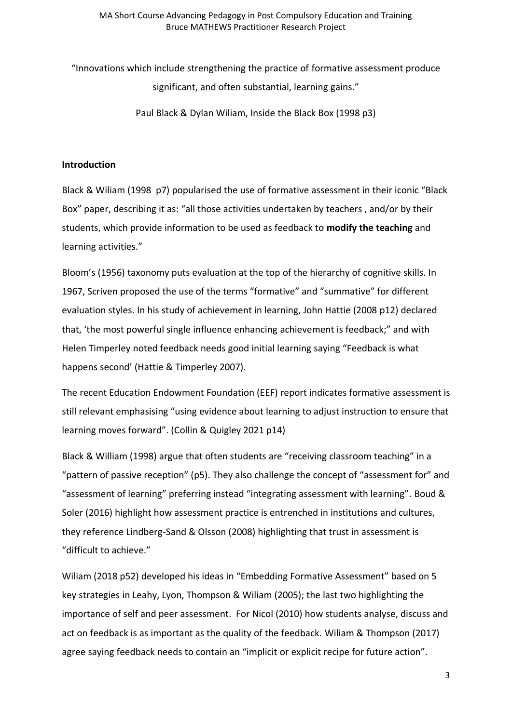"Innovations which include strengthening the practice of formative assessment produce significant, and often substantial, learning gains."

Paul Black & Dylan Wiliam, Inside the Black Box (1998 p3)

### **Introduction**

Black & Wiliam (1998 p7) popularised the use of formative assessment in their iconic "Black Box" paper, describing it as: "all those activities undertaken by teachers , and/or by their students, which provide information to be used as feedback to **modify the teaching** and learning activities."

Bloom's (1956) taxonomy puts evaluation at the top of the hierarchy of cognitive skills. In 1967, Scriven proposed the use of the terms "formative" and "summative" for different evaluation styles. In his study of achievement in learning, John Hattie (2008 p12) declared that, 'the most powerful single influence enhancing achievement is feedback;" and with Helen Timperley noted feedback needs good initial learning saying "Feedback is what happens second' (Hattie & Timperley 2007).

The recent Education Endowment Foundation (EEF) report indicates formative assessment is still relevant emphasising "using evidence about learning to adjust instruction to ensure that learning moves forward". (Collin & Quigley 2021 p14)

Black & William (1998) argue that often students are "receiving classroom teaching" in a "pattern of passive reception" (p5). They also challenge the concept of "assessment for" and "assessment of learning" preferring instead "integrating assessment with learning". Boud & Soler (2016) highlight how assessment practice is entrenched in institutions and cultures, they reference Lindberg-Sand & Olsson (2008) highlighting that trust in assessment is "difficult to achieve."

Wiliam (2018 p52) developed his ideas in "Embedding Formative Assessment" based on 5 key strategies in Leahy, Lyon, Thompson & Wiliam (2005); the last two highlighting the importance of self and peer assessment. For Nicol (2010) how students analyse, discuss and act on feedback is as important as the quality of the feedback. Wiliam & Thompson (2017) agree saying feedback needs to contain an "implicit or explicit recipe for future action".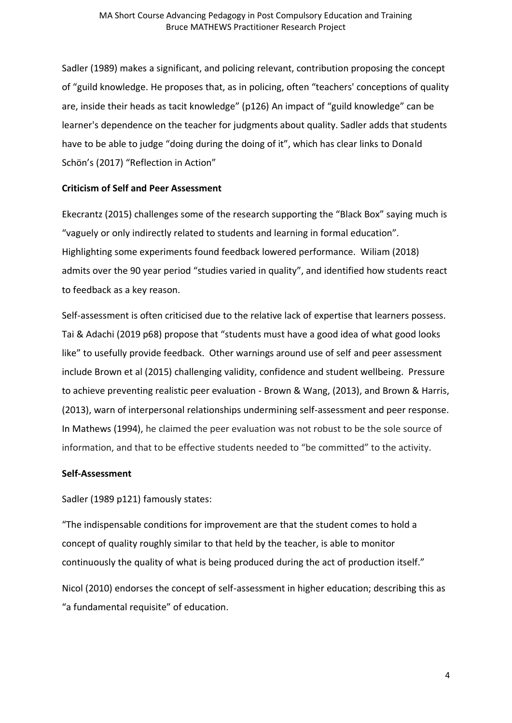Sadler (1989) makes a significant, and policing relevant, contribution proposing the concept of "guild knowledge. He proposes that, as in policing, often "teachers' conceptions of quality are, inside their heads as tacit knowledge" (p126) An impact of "guild knowledge" can be learner's dependence on the teacher for judgments about quality. Sadler adds that students have to be able to judge "doing during the doing of it", which has clear links to Donald Schön's (2017) "Reflection in Action"

# **Criticism of Self and Peer Assessment**

Ekecrantz (2015) challenges some of the research supporting the "Black Box" saying much is "vaguely or only indirectly related to students and learning in formal education". Highlighting some experiments found feedback lowered performance. Wiliam (2018) admits over the 90 year period "studies varied in quality", and identified how students react to feedback as a key reason.

Self-assessment is often criticised due to the relative lack of expertise that learners possess. Tai & Adachi (2019 p68) propose that "students must have a good idea of what good looks like" to usefully provide feedback. Other warnings around use of self and peer assessment include Brown et al (2015) challenging validity, confidence and student wellbeing. Pressure to achieve preventing realistic peer evaluation - Brown & Wang, (2013), and Brown & Harris, (2013), warn of interpersonal relationships undermining self-assessment and peer response. In Mathews (1994), he claimed the peer evaluation was not robust to be the sole source of information, and that to be effective students needed to "be committed" to the activity.

### **Self-Assessment**

Sadler (1989 p121) famously states:

"The indispensable conditions for improvement are that the student comes to hold a concept of quality roughly similar to that held by the teacher, is able to monitor continuously the quality of what is being produced during the act of production itself."

Nicol (2010) endorses the concept of self-assessment in higher education; describing this as "a fundamental requisite" of education.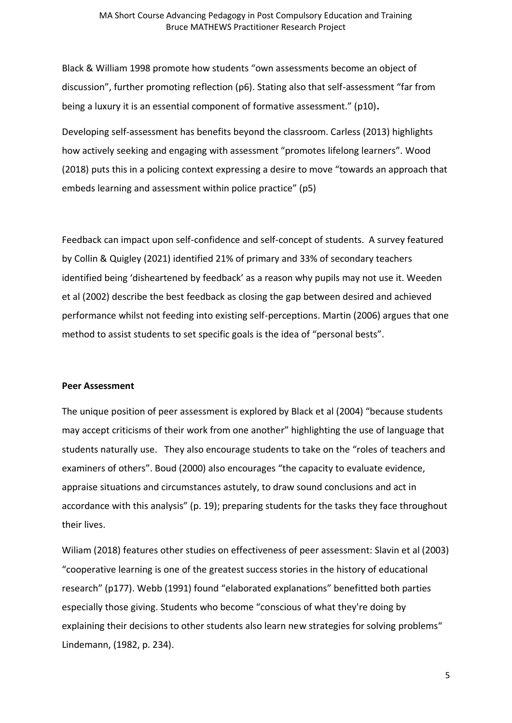Black & William 1998 promote how students "own assessments become an object of discussion", further promoting reflection (p6). Stating also that self-assessment "far from being a luxury it is an essential component of formative assessment." (p10)**.** 

Developing self-assessment has benefits beyond the classroom. Carless (2013) highlights how actively seeking and engaging with assessment "promotes lifelong learners". Wood (2018) puts this in a policing context expressing a desire to move "towards an approach that embeds learning and assessment within police practice" (p5)

Feedback can impact upon self-confidence and self-concept of students. A survey featured by Collin & Quigley (2021) identified 21% of primary and 33% of secondary teachers identified being 'disheartened by feedback' as a reason why pupils may not use it. Weeden et al (2002) describe the best feedback as closing the gap between desired and achieved performance whilst not feeding into existing self-perceptions. Martin (2006) argues that one method to assist students to set specific goals is the idea of "personal bests".

#### **Peer Assessment**

The unique position of peer assessment is explored by Black et al (2004) "because students may accept criticisms of their work from one another" highlighting the use of language that students naturally use. They also encourage students to take on the "roles of teachers and examiners of others". Boud (2000) also encourages "the capacity to evaluate evidence, appraise situations and circumstances astutely, to draw sound conclusions and act in accordance with this analysis" (p. 19); preparing students for the tasks they face throughout their lives.

Wiliam (2018) features other studies on effectiveness of peer assessment: Slavin et al (2003) "cooperative learning is one of the greatest success stories in the history of educational research" (p177). Webb (1991) found "elaborated explanations" benefitted both parties especially those giving. Students who become "conscious of what they're doing by explaining their decisions to other students also learn new strategies for solving problems" Lindemann, (1982, p. 234).

5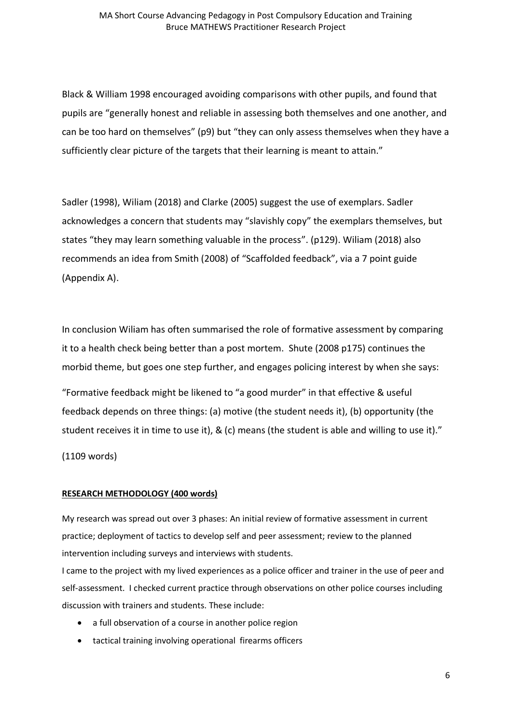Black & William 1998 encouraged avoiding comparisons with other pupils, and found that pupils are "generally honest and reliable in assessing both themselves and one another, and can be too hard on themselves" (p9) but "they can only assess themselves when they have a sufficiently clear picture of the targets that their learning is meant to attain."

Sadler (1998), Wiliam (2018) and Clarke (2005) suggest the use of exemplars. Sadler acknowledges a concern that students may "slavishly copy" the exemplars themselves, but states "they may learn something valuable in the process". (p129). Wiliam (2018) also recommends an idea from Smith (2008) of "Scaffolded feedback", via a 7 point guide (Appendix A).

In conclusion Wiliam has often summarised the role of formative assessment by comparing it to a health check being better than a post mortem. Shute (2008 p175) continues the morbid theme, but goes one step further, and engages policing interest by when she says:

"Formative feedback might be likened to "a good murder" in that effective & useful feedback depends on three things: (a) motive (the student needs it), (b) opportunity (the student receives it in time to use it), & (c) means (the student is able and willing to use it)."

(1109 words)

#### **RESEARCH METHODOLOGY (400 words)**

My research was spread out over 3 phases: An initial review of formative assessment in current practice; deployment of tactics to develop self and peer assessment; review to the planned intervention including surveys and interviews with students.

I came to the project with my lived experiences as a police officer and trainer in the use of peer and self-assessment. I checked current practice through observations on other police courses including discussion with trainers and students. These include:

- a full observation of a course in another police region
- tactical training involving operational firearms officers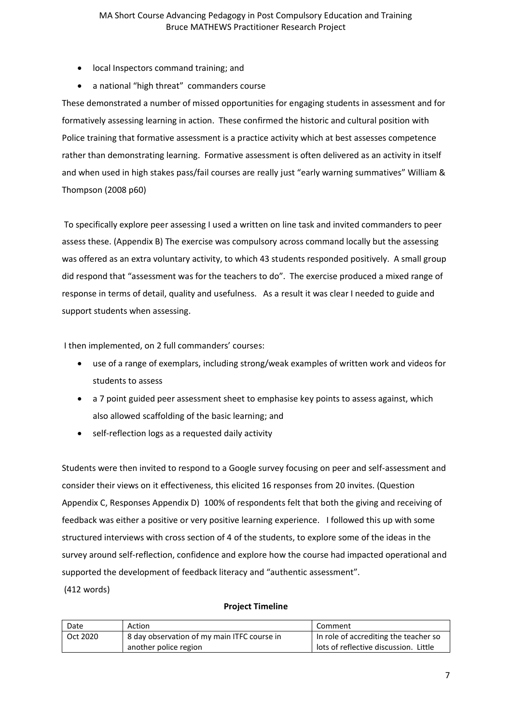- local Inspectors command training; and
- a national "high threat" commanders course

These demonstrated a number of missed opportunities for engaging students in assessment and for formatively assessing learning in action. These confirmed the historic and cultural position with Police training that formative assessment is a practice activity which at best assesses competence rather than demonstrating learning. Formative assessment is often delivered as an activity in itself and when used in high stakes pass/fail courses are really just "early warning summatives" William & Thompson (2008 p60)

To specifically explore peer assessing I used a written on line task and invited commanders to peer assess these. (Appendix B) The exercise was compulsory across command locally but the assessing was offered as an extra voluntary activity, to which 43 students responded positively. A small group did respond that "assessment was for the teachers to do". The exercise produced a mixed range of response in terms of detail, quality and usefulness. As a result it was clear I needed to guide and support students when assessing.

I then implemented, on 2 full commanders' courses:

- use of a range of exemplars, including strong/weak examples of written work and videos for students to assess
- a 7 point guided peer assessment sheet to emphasise key points to assess against, which also allowed scaffolding of the basic learning; and
- self-reflection logs as a requested daily activity

Students were then invited to respond to a Google survey focusing on peer and self-assessment and consider their views on it effectiveness, this elicited 16 responses from 20 invites. (Question Appendix C, Responses Appendix D) 100% of respondents felt that both the giving and receiving of feedback was either a positive or very positive learning experience. I followed this up with some structured interviews with cross section of 4 of the students, to explore some of the ideas in the survey around self-reflection, confidence and explore how the course had impacted operational and supported the development of feedback literacy and "authentic assessment".

(412 words)

#### **Project Timeline**

| Date     | Action                                      | Comment                               |  |
|----------|---------------------------------------------|---------------------------------------|--|
| Oct 2020 | 8 day observation of my main ITFC course in | In role of accrediting the teacher so |  |
|          | another police region                       | lots of reflective discussion. Little |  |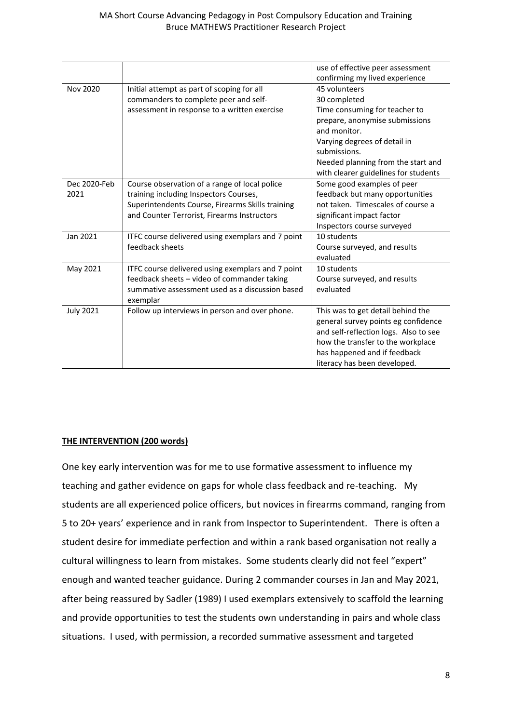|                  |                                                   | use of effective peer assessment      |
|------------------|---------------------------------------------------|---------------------------------------|
|                  |                                                   | confirming my lived experience        |
| Nov 2020         | Initial attempt as part of scoping for all        | 45 volunteers                         |
|                  | commanders to complete peer and self-             | 30 completed                          |
|                  | assessment in response to a written exercise      | Time consuming for teacher to         |
|                  |                                                   | prepare, anonymise submissions        |
|                  |                                                   | and monitor.                          |
|                  |                                                   | Varying degrees of detail in          |
|                  |                                                   | submissions.                          |
|                  |                                                   | Needed planning from the start and    |
|                  |                                                   | with clearer guidelines for students  |
| Dec 2020-Feb     | Course observation of a range of local police     | Some good examples of peer            |
| 2021             | training including Inspectors Courses,            | feedback but many opportunities       |
|                  | Superintendents Course, Firearms Skills training  | not taken. Timescales of course a     |
|                  | and Counter Terrorist, Firearms Instructors       | significant impact factor             |
|                  |                                                   | Inspectors course surveyed            |
| Jan 2021         | ITFC course delivered using exemplars and 7 point | 10 students                           |
|                  | feedback sheets                                   | Course surveyed, and results          |
|                  |                                                   | evaluated                             |
| May 2021         | ITFC course delivered using exemplars and 7 point | 10 students                           |
|                  | feedback sheets - video of commander taking       | Course surveyed, and results          |
|                  | summative assessment used as a discussion based   | evaluated                             |
|                  | exemplar                                          |                                       |
| <b>July 2021</b> | Follow up interviews in person and over phone.    | This was to get detail behind the     |
|                  |                                                   | general survey points eg confidence   |
|                  |                                                   | and self-reflection logs. Also to see |
|                  |                                                   | how the transfer to the workplace     |
|                  |                                                   | has happened and if feedback          |
|                  |                                                   | literacy has been developed.          |

# **THE INTERVENTION (200 words)**

One key early intervention was for me to use formative assessment to influence my teaching and gather evidence on gaps for whole class feedback and re-teaching. My students are all experienced police officers, but novices in firearms command, ranging from 5 to 20+ years' experience and in rank from Inspector to Superintendent. There is often a student desire for immediate perfection and within a rank based organisation not really a cultural willingness to learn from mistakes. Some students clearly did not feel "expert" enough and wanted teacher guidance. During 2 commander courses in Jan and May 2021, after being reassured by Sadler (1989) I used exemplars extensively to scaffold the learning and provide opportunities to test the students own understanding in pairs and whole class situations. I used, with permission, a recorded summative assessment and targeted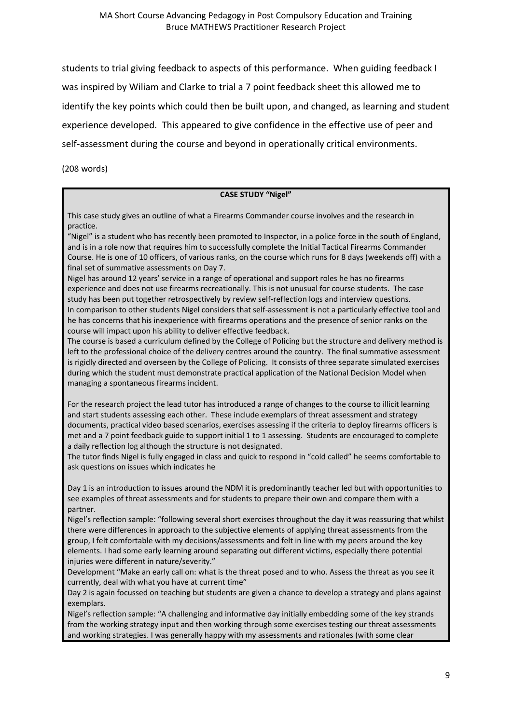students to trial giving feedback to aspects of this performance. When guiding feedback I was inspired by Wiliam and Clarke to trial a 7 point feedback sheet this allowed me to identify the key points which could then be built upon, and changed, as learning and student experience developed. This appeared to give confidence in the effective use of peer and self-assessment during the course and beyond in operationally critical environments.

(208 words)

#### **CASE STUDY "Nigel"**

This case study gives an outline of what a Firearms Commander course involves and the research in practice.

"Nigel" is a student who has recently been promoted to Inspector, in a police force in the south of England, and is in a role now that requires him to successfully complete the Initial Tactical Firearms Commander Course. He is one of 10 officers, of various ranks, on the course which runs for 8 days (weekends off) with a final set of summative assessments on Day 7.

Nigel has around 12 years' service in a range of operational and support roles he has no firearms experience and does not use firearms recreationally. This is not unusual for course students. The case study has been put together retrospectively by review self-reflection logs and interview questions. In comparison to other students Nigel considers that self-assessment is not a particularly effective tool and he has concerns that his inexperience with firearms operations and the presence of senior ranks on the course will impact upon his ability to deliver effective feedback.

The course is based a curriculum defined by the College of Policing but the structure and delivery method is left to the professional choice of the delivery centres around the country. The final summative assessment is rigidly directed and overseen by the College of Policing. It consists of three separate simulated exercises during which the student must demonstrate practical application of the National Decision Model when managing a spontaneous firearms incident.

For the research project the lead tutor has introduced a range of changes to the course to illicit learning and start students assessing each other. These include exemplars of threat assessment and strategy documents, practical video based scenarios, exercises assessing if the criteria to deploy firearms officers is met and a 7 point feedback guide to support initial 1 to 1 assessing. Students are encouraged to complete a daily reflection log although the structure is not designated.

The tutor finds Nigel is fully engaged in class and quick to respond in "cold called" he seems comfortable to ask questions on issues which indicates he

Day 1 is an introduction to issues around the NDM it is predominantly teacher led but with opportunities to see examples of threat assessments and for students to prepare their own and compare them with a partner.

Nigel's reflection sample: "following several short exercises throughout the day it was reassuring that whilst there were differences in approach to the subjective elements of applying threat assessments from the group, I felt comfortable with my decisions/assessments and felt in line with my peers around the key elements. I had some early learning around separating out different victims, especially there potential injuries were different in nature/severity."

Development "Make an early call on: what is the threat posed and to who. Assess the threat as you see it currently, deal with what you have at current time"

Day 2 is again focussed on teaching but students are given a chance to develop a strategy and plans against exemplars.

Nigel's reflection sample: "A challenging and informative day initially embedding some of the key strands from the working strategy input and then working through some exercises testing our threat assessments and working strategies. I was generally happy with my assessments and rationales (with some clear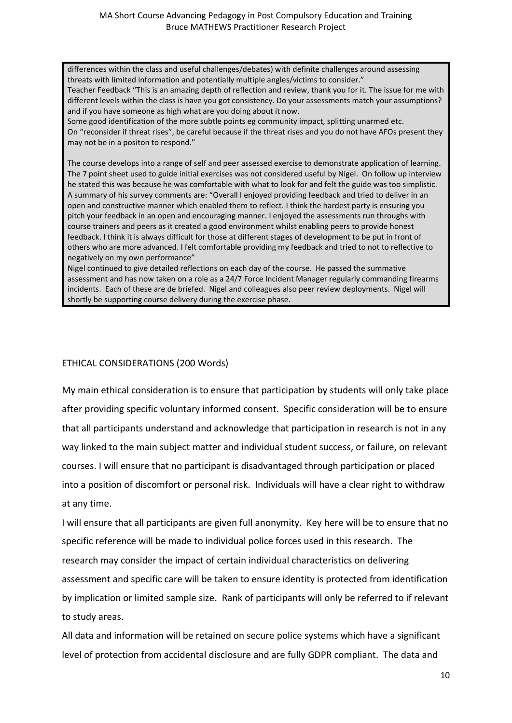differences within the class and useful challenges/debates) with definite challenges around assessing threats with limited information and potentially multiple angles/victims to consider."

Teacher Feedback "This is an amazing depth of reflection and review, thank you for it. The issue for me with different levels within the class is have you got consistency. Do your assessments match your assumptions? and if you have someone as high what are you doing about it now.

Some good identification of the more subtle points eg community impact, splitting unarmed etc. On "reconsider if threat rises", be careful because if the threat rises and you do not have AFOs present they may not be in a positon to respond."

The course develops into a range of self and peer assessed exercise to demonstrate application of learning. The 7 point sheet used to guide initial exercises was not considered useful by Nigel. On follow up interview he stated this was because he was comfortable with what to look for and felt the guide was too simplistic. A summary of his survey comments are: "Overall I enjoyed providing feedback and tried to deliver in an open and constructive manner which enabled them to reflect. I think the hardest party is ensuring you pitch your feedback in an open and encouraging manner. I enjoyed the assessments run throughs with course trainers and peers as it created a good environment whilst enabling peers to provide honest feedback. I think it is always difficult for those at different stages of development to be put in front of others who are more advanced. I felt comfortable providing my feedback and tried to not to reflective to negatively on my own performance"

Nigel continued to give detailed reflections on each day of the course. He passed the summative assessment and has now taken on a role as a 24/7 Force Incident Manager regularly commanding firearms incidents. Each of these are de briefed. Nigel and colleagues also peer review deployments. Nigel will shortly be supporting course delivery during the exercise phase.

# ETHICAL CONSIDERATIONS (200 Words)

My main ethical consideration is to ensure that participation by students will only take place after providing specific voluntary informed consent. Specific consideration will be to ensure that all participants understand and acknowledge that participation in research is not in any way linked to the main subject matter and individual student success, or failure, on relevant courses. I will ensure that no participant is disadvantaged through participation or placed into a position of discomfort or personal risk. Individuals will have a clear right to withdraw at any time.

I will ensure that all participants are given full anonymity. Key here will be to ensure that no specific reference will be made to individual police forces used in this research. The research may consider the impact of certain individual characteristics on delivering assessment and specific care will be taken to ensure identity is protected from identification by implication or limited sample size. Rank of participants will only be referred to if relevant to study areas.

All data and information will be retained on secure police systems which have a significant level of protection from accidental disclosure and are fully GDPR compliant. The data and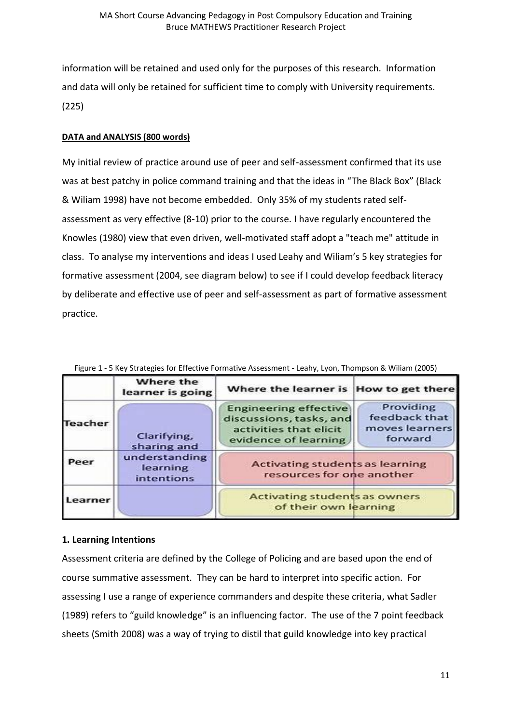information will be retained and used only for the purposes of this research. Information and data will only be retained for sufficient time to comply with University requirements. (225)

# **DATA and ANALYSIS (800 words)**

My initial review of practice around use of peer and self-assessment confirmed that its use was at best patchy in police command training and that the ideas in "The Black Box" (Black & Wiliam 1998) have not become embedded. Only 35% of my students rated selfassessment as very effective (8-10) prior to the course. I have regularly encountered the Knowles (1980) view that even driven, well-motivated staff adopt a "teach me" attitude in class. To analyse my interventions and ideas I used Leahy and Wiliam's 5 key strategies for formative assessment (2004, see diagram below) to see if I could develop feedback literacy by deliberate and effective use of peer and self-assessment as part of formative assessment practice.

|                | Where the<br>learner is going           | Where the learner is How to get there                                                                     |                                                         |
|----------------|-----------------------------------------|-----------------------------------------------------------------------------------------------------------|---------------------------------------------------------|
| <b>Teacher</b> | Clarifying,<br>sharing and              | <b>Engineering effective</b><br>discussions, tasks, and<br>activities that elicit<br>evidence of learning | Providing<br>feedback that<br>moves learners<br>forward |
| Peer           | understanding<br>learning<br>intentions | <b>Activating students as learning</b><br>resources for one another                                       |                                                         |
| Learner        |                                         | <b>Activating students as owners</b><br>of their own learning                                             |                                                         |

Figure 1 - 5 Key Strategies for Effective Formative Assessment - Leahy, Lyon, Thompson & Wiliam (2005)

# **1. Learning Intentions**

Assessment criteria are defined by the College of Policing and are based upon the end of course summative assessment. They can be hard to interpret into specific action. For assessing I use a range of experience commanders and despite these criteria, what Sadler (1989) refers to "guild knowledge" is an influencing factor. The use of the 7 point feedback sheets (Smith 2008) was a way of trying to distil that guild knowledge into key practical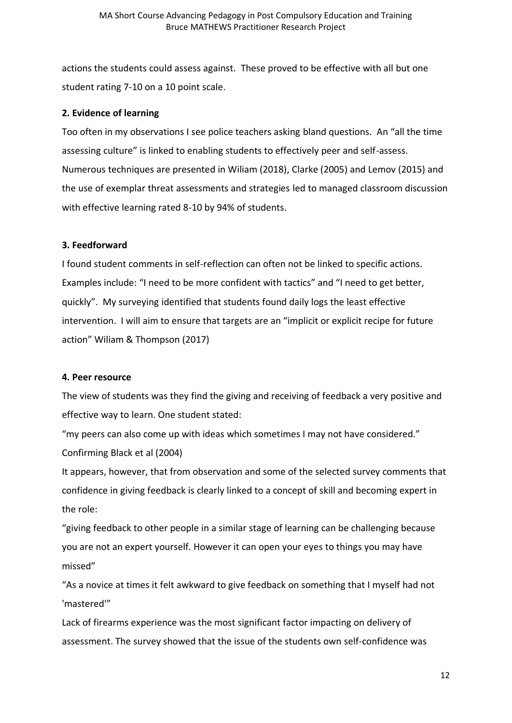actions the students could assess against. These proved to be effective with all but one student rating 7-10 on a 10 point scale.

# **2. Evidence of learning**

Too often in my observations I see police teachers asking bland questions. An "all the time assessing culture" is linked to enabling students to effectively peer and self-assess. Numerous techniques are presented in Wiliam (2018), Clarke (2005) and Lemov (2015) and the use of exemplar threat assessments and strategies led to managed classroom discussion with effective learning rated 8-10 by 94% of students.

# **3. Feedforward**

I found student comments in self-reflection can often not be linked to specific actions. Examples include: "I need to be more confident with tactics" and "I need to get better, quickly". My surveying identified that students found daily logs the least effective intervention. I will aim to ensure that targets are an "implicit or explicit recipe for future action" Wiliam & Thompson (2017)

### **4. Peer resource**

The view of students was they find the giving and receiving of feedback a very positive and effective way to learn. One student stated:

"my peers can also come up with ideas which sometimes I may not have considered." Confirming Black et al (2004)

It appears, however, that from observation and some of the selected survey comments that confidence in giving feedback is clearly linked to a concept of skill and becoming expert in the role:

"giving feedback to other people in a similar stage of learning can be challenging because you are not an expert yourself. However it can open your eyes to things you may have missed"

"As a novice at times it felt awkward to give feedback on something that I myself had not 'mastered'"

Lack of firearms experience was the most significant factor impacting on delivery of assessment. The survey showed that the issue of the students own self-confidence was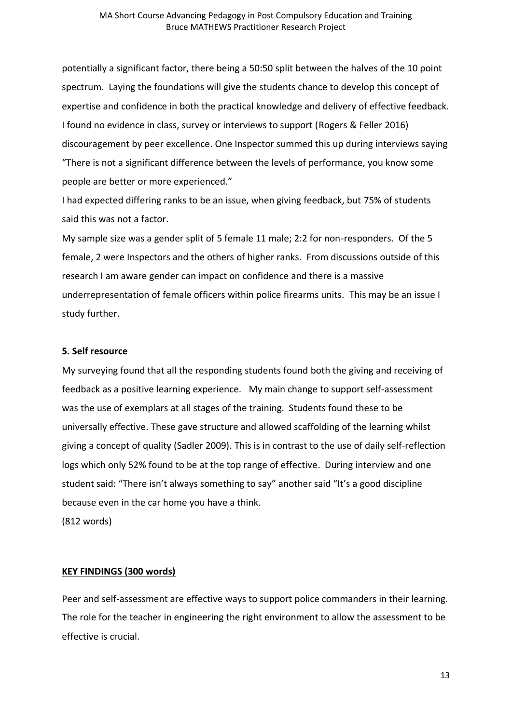potentially a significant factor, there being a 50:50 split between the halves of the 10 point spectrum. Laying the foundations will give the students chance to develop this concept of expertise and confidence in both the practical knowledge and delivery of effective feedback. I found no evidence in class, survey or interviews to support (Rogers & Feller 2016) discouragement by peer excellence. One Inspector summed this up during interviews saying "There is not a significant difference between the levels of performance, you know some people are better or more experienced."

I had expected differing ranks to be an issue, when giving feedback, but 75% of students said this was not a factor.

My sample size was a gender split of 5 female 11 male; 2:2 for non-responders. Of the 5 female, 2 were Inspectors and the others of higher ranks. From discussions outside of this research I am aware gender can impact on confidence and there is a massive underrepresentation of female officers within police firearms units. This may be an issue I study further.

#### **5. Self resource**

My surveying found that all the responding students found both the giving and receiving of feedback as a positive learning experience. My main change to support self-assessment was the use of exemplars at all stages of the training. Students found these to be universally effective. These gave structure and allowed scaffolding of the learning whilst giving a concept of quality (Sadler 2009). This is in contrast to the use of daily self-reflection logs which only 52% found to be at the top range of effective. During interview and one student said: "There isn't always something to say" another said "It's a good discipline because even in the car home you have a think.

(812 words)

### **KEY FINDINGS (300 words)**

Peer and self-assessment are effective ways to support police commanders in their learning. The role for the teacher in engineering the right environment to allow the assessment to be effective is crucial.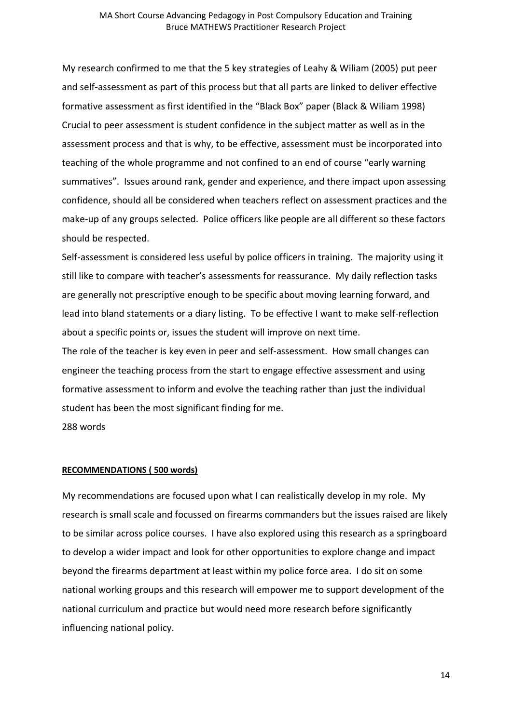My research confirmed to me that the 5 key strategies of Leahy & Wiliam (2005) put peer and self-assessment as part of this process but that all parts are linked to deliver effective formative assessment as first identified in the "Black Box" paper (Black & Wiliam 1998) Crucial to peer assessment is student confidence in the subject matter as well as in the assessment process and that is why, to be effective, assessment must be incorporated into teaching of the whole programme and not confined to an end of course "early warning summatives". Issues around rank, gender and experience, and there impact upon assessing confidence, should all be considered when teachers reflect on assessment practices and the make-up of any groups selected. Police officers like people are all different so these factors should be respected.

Self-assessment is considered less useful by police officers in training. The majority using it still like to compare with teacher's assessments for reassurance. My daily reflection tasks are generally not prescriptive enough to be specific about moving learning forward, and lead into bland statements or a diary listing. To be effective I want to make self-reflection about a specific points or, issues the student will improve on next time.

The role of the teacher is key even in peer and self-assessment. How small changes can engineer the teaching process from the start to engage effective assessment and using formative assessment to inform and evolve the teaching rather than just the individual student has been the most significant finding for me.

288 words

#### **RECOMMENDATIONS ( 500 words)**

My recommendations are focused upon what I can realistically develop in my role. My research is small scale and focussed on firearms commanders but the issues raised are likely to be similar across police courses. I have also explored using this research as a springboard to develop a wider impact and look for other opportunities to explore change and impact beyond the firearms department at least within my police force area. I do sit on some national working groups and this research will empower me to support development of the national curriculum and practice but would need more research before significantly influencing national policy.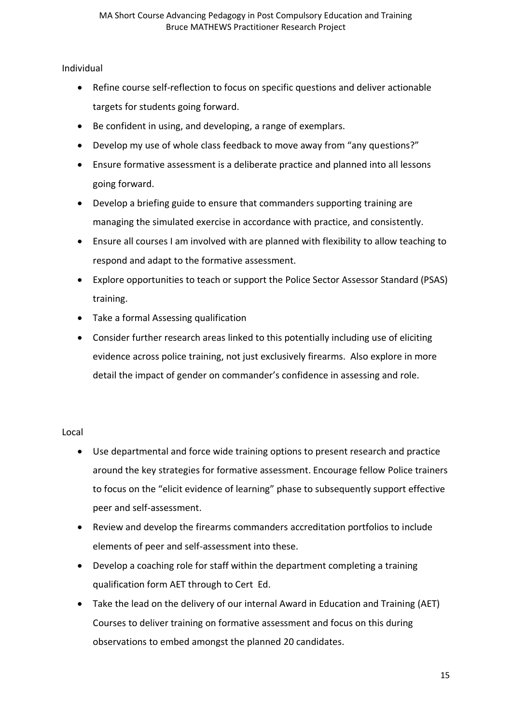Individual

- Refine course self-reflection to focus on specific questions and deliver actionable targets for students going forward.
- Be confident in using, and developing, a range of exemplars.
- Develop my use of whole class feedback to move away from "any questions?"
- Ensure formative assessment is a deliberate practice and planned into all lessons going forward.
- Develop a briefing guide to ensure that commanders supporting training are managing the simulated exercise in accordance with practice, and consistently.
- Ensure all courses I am involved with are planned with flexibility to allow teaching to respond and adapt to the formative assessment.
- Explore opportunities to teach or support the Police Sector Assessor Standard (PSAS) training.
- Take a formal Assessing qualification
- Consider further research areas linked to this potentially including use of eliciting evidence across police training, not just exclusively firearms. Also explore in more detail the impact of gender on commander's confidence in assessing and role.

Local

- Use departmental and force wide training options to present research and practice around the key strategies for formative assessment. Encourage fellow Police trainers to focus on the "elicit evidence of learning" phase to subsequently support effective peer and self-assessment.
- Review and develop the firearms commanders accreditation portfolios to include elements of peer and self-assessment into these.
- Develop a coaching role for staff within the department completing a training qualification form AET through to Cert Ed.
- Take the lead on the delivery of our internal Award in Education and Training (AET) Courses to deliver training on formative assessment and focus on this during observations to embed amongst the planned 20 candidates.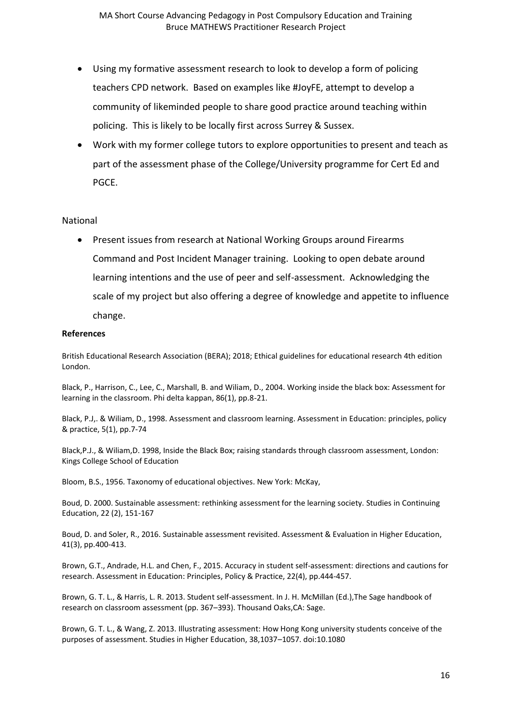- Using my formative assessment research to look to develop a form of policing teachers CPD network. Based on examples like #JoyFE, attempt to develop a community of likeminded people to share good practice around teaching within policing. This is likely to be locally first across Surrey & Sussex.
- Work with my former college tutors to explore opportunities to present and teach as part of the assessment phase of the College/University programme for Cert Ed and PGCE.

### National

• Present issues from research at National Working Groups around Firearms Command and Post Incident Manager training. Looking to open debate around learning intentions and the use of peer and self-assessment. Acknowledging the scale of my project but also offering a degree of knowledge and appetite to influence change.

#### **References**

British Educational Research Association (BERA); 2018; Ethical guidelines for educational research 4th edition London.

Black, P., Harrison, C., Lee, C., Marshall, B. and Wiliam, D., 2004. Working inside the black box: Assessment for learning in the classroom. Phi delta kappan, 86(1), pp.8-21.

Black, P.J,. & Wiliam, D., 1998. Assessment and classroom learning. Assessment in Education: principles, policy & practice, 5(1), pp.7-74

Black,P.J., & Wiliam,D. 1998, Inside the Black Box; raising standards through classroom assessment, London: Kings College School of Education

Bloom, B.S., 1956. Taxonomy of educational objectives. New York: McKay,

Boud, D. 2000. Sustainable assessment: rethinking assessment for the learning society. Studies in Continuing Education, 22 (2), 151-167

Boud, D. and Soler, R., 2016. Sustainable assessment revisited. Assessment & Evaluation in Higher Education, 41(3), pp.400-413.

Brown, G.T., Andrade, H.L. and Chen, F., 2015. Accuracy in student self-assessment: directions and cautions for research. Assessment in Education: Principles, Policy & Practice, 22(4), pp.444-457.

Brown, G. T. L., & Harris, L. R. 2013. Student self-assessment. In J. H. McMillan (Ed.),The Sage handbook of research on classroom assessment (pp. 367–393). Thousand Oaks,CA: Sage.

Brown, G. T. L., & Wang, Z. 2013. Illustrating assessment: How Hong Kong university students conceive of the purposes of assessment. Studies in Higher Education, 38,1037–1057. doi:10.1080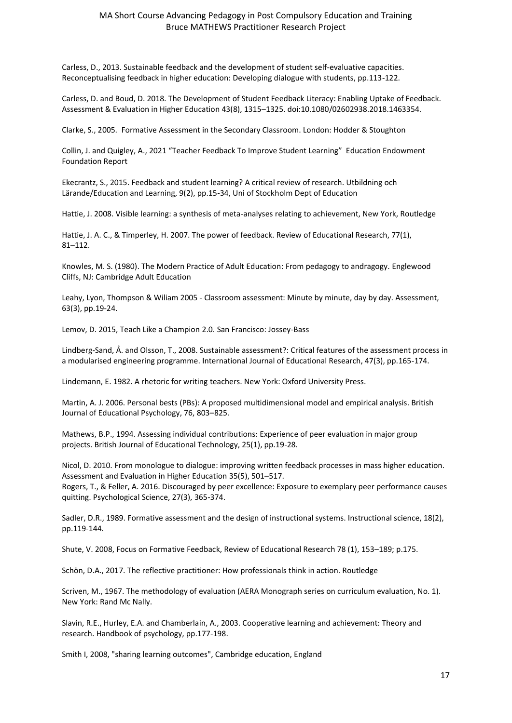Carless, D., 2013. Sustainable feedback and the development of student self-evaluative capacities. Reconceptualising feedback in higher education: Developing dialogue with students, pp.113-122.

Carless, D. and Boud, D. 2018. The Development of Student Feedback Literacy: Enabling Uptake of Feedback. Assessment & Evaluation in Higher Education 43(8), 1315–1325. doi:10.1080/02602938.2018.1463354.

Clarke, S., 2005. Formative Assessment in the Secondary Classroom. London: Hodder & Stoughton

Collin, J. and Quigley, A., 2021 "Teacher Feedback To Improve Student Learning" Education Endowment Foundation Report

Ekecrantz, S., 2015. Feedback and student learning? A critical review of research. Utbildning och Lärande/Education and Learning, 9(2), pp.15-34, Uni of Stockholm Dept of Education

Hattie, J. 2008. Visible learning: a synthesis of meta-analyses relating to achievement, New York, Routledge

Hattie, J. A. C., & Timperley, H. 2007. The power of feedback. Review of Educational Research, 77(1), 81–112.

Knowles, M. S. (1980). The Modern Practice of Adult Education: From pedagogy to andragogy. Englewood Cliffs, NJ: Cambridge Adult Education

Leahy, Lyon, Thompson & Wiliam 2005 - Classroom assessment: Minute by minute, day by day. Assessment, 63(3), pp.19-24.

Lemov, D. 2015, Teach Like a Champion 2.0. San Francisco: Jossey-Bass

Lindberg-Sand, Å. and Olsson, T., 2008. Sustainable assessment?: Critical features of the assessment process in a modularised engineering programme. International Journal of Educational Research, 47(3), pp.165-174.

Lindemann, E. 1982. A rhetoric for writing teachers. New York: Oxford University Press.

Martin, A. J. 2006. Personal bests (PBs): A proposed multidimensional model and empirical analysis. British Journal of Educational Psychology, 76, 803–825.

Mathews, B.P., 1994. Assessing individual contributions: Experience of peer evaluation in major group projects. British Journal of Educational Technology, 25(1), pp.19-28.

Nicol, D. 2010. From monologue to dialogue: improving written feedback processes in mass higher education. Assessment and Evaluation in Higher Education 35(5), 501–517.

Rogers, T., & Feller, A. 2016. Discouraged by peer excellence: Exposure to exemplary peer performance causes quitting. Psychological Science, 27(3), 365-374.

Sadler, D.R., 1989. Formative assessment and the design of instructional systems. Instructional science, 18(2), pp.119-144.

Shute, V. 2008, Focus on Formative Feedback, Review of Educational Research 78 (1), 153–189; p.175.

Schön, D.A., 2017. The reflective practitioner: How professionals think in action. Routledge

Scriven, M., 1967. The methodology of evaluation (AERA Monograph series on curriculum evaluation, No. 1). New York: Rand Mc Nally.

Slavin, R.E., Hurley, E.A. and Chamberlain, A., 2003. Cooperative learning and achievement: Theory and research. Handbook of psychology, pp.177-198.

Smith I, 2008, "sharing learning outcomes", Cambridge education, England